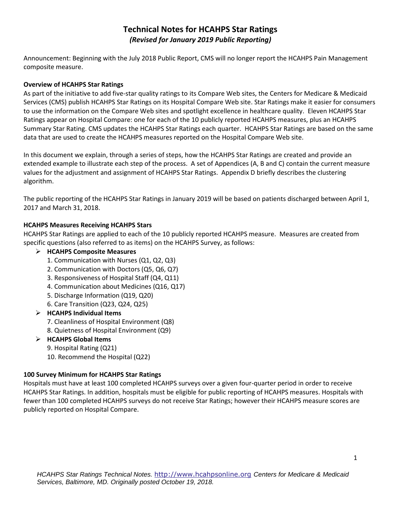# **Technical Notes for HCAHPS Star Ratings**  *(Revised for January 2019 Public Reporting)*

Announcement: Beginning with the July 2018 Public Report, CMS will no longer report the HCAHPS Pain Management composite measure.

## **Overview of HCAHPS Star Ratings**

As part of the initiative to add five-star quality ratings to its Compare Web sites, the Centers for Medicare & Medicaid Services (CMS) publish HCAHPS Star Ratings on its Hospital Compare Web site. Star Ratings make it easier for consumers to use the information on the Compare Web sites and spotlight excellence in healthcare quality. Eleven HCAHPS Star Ratings appear on Hospital Compare: one for each of the 10 publicly reported HCAHPS measures, plus an HCAHPS Summary Star Rating. CMS updates the HCAHPS Star Ratings each quarter. HCAHPS Star Ratings are based on the same data that are used to create the HCAHPS measures reported on the Hospital Compare Web site.

In this document we explain, through a series of steps, how the HCAHPS Star Ratings are created and provide an extended example to illustrate each step of the process. A set of Appendices (A, B and C) contain the current measure values for the adjustment and assignment of HCAHPS Star Ratings. Appendix D briefly describes the clustering algorithm.

The public reporting of the HCAHPS Star Ratings in January 2019 will be based on patients discharged between April 1, 2017 and March 31, 2018.

## **HCAHPS Measures Receiving HCAHPS Stars**

HCAHPS Star Ratings are applied to each of the 10 publicly reported HCAHPS measure. Measures are created from specific questions (also referred to as items) on the HCAHPS Survey, as follows:

## **HCAHPS Composite Measures**

- 1. Communication with Nurses (Q1, Q2, Q3)
- 2. Communication with Doctors (Q5, Q6, Q7)
- 3. Responsiveness of Hospital Staff (Q4, Q11)
- 4. Communication about Medicines (Q16, Q17)
- 5. Discharge Information (Q19, Q20)
- 6. Care Transition (Q23, Q24, Q25)
- **HCAHPS Individual Items**
	- 7. Cleanliness of Hospital Environment (Q8)
	- 8. Quietness of Hospital Environment (Q9)

## **HCAHPS Global Items**

- 9. Hospital Rating (Q21)
- 10. Recommend the Hospital (Q22)

## **100 Survey Minimum for HCAHPS Star Ratings**

Hospitals must have at least 100 completed HCAHPS surveys over a given four-quarter period in order to receive HCAHPS Star Ratings. In addition, hospitals must be eligible for public reporting of HCAHPS measures. Hospitals with fewer than 100 completed HCAHPS surveys do not receive Star Ratings; however their HCAHPS measure scores are publicly reported on Hospital Compare.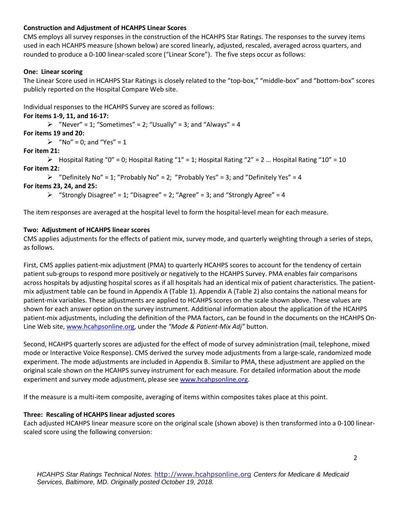## **Construction and Adjustment of HCAHPS Linear Scores**

CMS employs all survey responses in the construction of the HCAHPS Star Ratings. The responses to the survey items used in each HCAHPS measure (shown below) are scored linearly, adjusted, rescaled, averaged across quarters, and rounded to produce a 0-100 linear-scaled score ("Linear Score"). The five steps occur as follows:

## **One: Linear scoring**

The Linear Score used in HCAHPS Star Ratings is closely related to the "top-box," "middle-box" and "bottom-box" scores publicly reported on the Hospital Compare Web site.

Individual responses to the HCAHPS Survey are scored as follows:

## **For items 1-9, 11, and 16-17:**

 $\triangleright$  "Never" = 1; "Sometimes" = 2; "Usually" = 3; and "Always" = 4

## **For items 19 and 20:**

 $\triangleright$  "No" = 0; and "Yes" = 1

## **For item 21:**

 $\triangleright$  Hospital Rating "0" = 0; Hospital Rating "1" = 1; Hospital Rating "2" = 2 ... Hospital Rating "10" = 10 **For item 22:** 

 $\triangleright$  "Definitely No" = 1; "Probably No" = 2; "Probably Yes" = 3; and "Definitely Yes" = 4

## **For items 23, 24, and 25:**

 $\triangleright$  "Strongly Disagree" = 1; "Disagree" = 2; "Agree" = 3; and "Strongly Agree" = 4

The item responses are averaged at the hospital level to form the hospital-level mean for each measure.

## **Two: Adjustment of HCAHPS linear scores**

CMS applies adjustments for the effects of patient mix, survey mode, and quarterly weighting through a series of steps, as follows.

First, CMS applies patient-mix adjustment (PMA) to quarterly HCAHPS scores to account for the tendency of certain patient sub-groups to respond more positively or negatively to the HCAHPS Survey. PMA enables fair comparisons across hospitals by adjusting hospital scores as if all hospitals had an identical mix of patient characteristics. The patientmix adjustment table can be found in Appendix A (Table 1). Appendix A (Table 2) also contains the national means for patient-mix variables. These adjustments are applied to HCAHPS scores on the scale shown above. These values are shown for each answer option on the survey instrument. Additional information about the application of the HCAHPS patient-mix adjustments, including the definition of the PMA factors, can be found in the documents on the HCAHPS On-Line Web site[, www.hcahpsonline.org,](http://www.hcahpsonline.org/) under the *"Mode & Patient-Mix Adj"* button.

Second, HCAHPS quarterly scores are adjusted for the effect of mode of survey administration (mail, telephone, mixed mode or Interactive Voice Response). CMS derived the survey mode adjustments from a large-scale, randomized mode experiment. The mode adjustments are included in Appendix B. Similar to PMA, these adjustment are applied on the original scale shown on the HCAHPS survey instrument for each measure. For detailed information about the mode experiment and survey mode adjustment, please see [www.hcahpsonline.org.](http://www.hcahpsonline.org/)

If the measure is a multi-item composite, averaging of items within composites takes place at this point.

## **Three: Rescaling of HCAHPS linear adjusted scores**

Each adjusted HCAHPS linear measure score on the original scale (shown above) is then transformed into a 0-100 linearscaled score using the following conversion: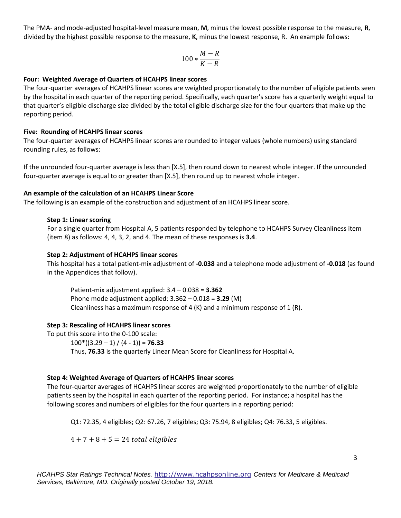The PMA- and mode-adjusted hospital-level measure mean, **M**, minus the lowest possible response to the measure, **R**, divided by the highest possible response to the measure, **K**, minus the lowest response, R. An example follows:

$$
100*\frac{M-R}{K-R}
$$

## **Four: Weighted Average of Quarters of HCAHPS linear scores**

The four-quarter averages of HCAHPS linear scores are weighted proportionately to the number of eligible patients seen by the hospital in each quarter of the reporting period. Specifically, each quarter's score has a quarterly weight equal to that quarter's eligible discharge size divided by the total eligible discharge size for the four quarters that make up the reporting period.

#### **Five: Rounding of HCAHPS linear scores**

The four-quarter averages of HCAHPS linear scores are rounded to integer values (whole numbers) using standard rounding rules, as follows:

If the unrounded four-quarter average is less than [X.5], then round down to nearest whole integer. If the unrounded four-quarter average is equal to or greater than [X.5], then round up to nearest whole integer.

#### **An example of the calculation of an HCAHPS Linear Score**

The following is an example of the construction and adjustment of an HCAHPS linear score.

#### **Step 1: Linear scoring**

For a single quarter from Hospital A, 5 patients responded by telephone to HCAHPS Survey Cleanliness item (item 8) as follows: 4, 4, 3, 2, and 4. The mean of these responses is **3.4**.

#### **Step 2: Adjustment of HCAHPS linear scores**

This hospital has a total patient-mix adjustment of **-0.038** and a telephone mode adjustment of **-0.018** (as found in the Appendices that follow).

Patient-mix adjustment applied: 3.4 – 0.038 = **3.362**  Phone mode adjustment applied: 3.362 – 0.018 = **3.29** (M) Cleanliness has a maximum response of 4  $(K)$  and a minimum response of 1  $(R)$ .

## **Step 3: Rescaling of HCAHPS linear scores**

To put this score into the 0-100 scale:  $100*(3.29-1)/(4-1)$  = **76.33** Thus, **76.33** is the quarterly Linear Mean Score for Cleanliness for Hospital A.

## **Step 4: Weighted Average of Quarters of HCAHPS linear scores**

The four-quarter averages of HCAHPS linear scores are weighted proportionately to the number of eligible patients seen by the hospital in each quarter of the reporting period. For instance; a hospital has the following scores and numbers of eligibles for the four quarters in a reporting period:

Q1: 72.35, 4 eligibles; Q2: 67.26, 7 eligibles; Q3: 75.94, 8 eligibles; Q4: 76.33, 5 eligibles.

 $4 + 7 + 8 + 5 = 24$  total eligibles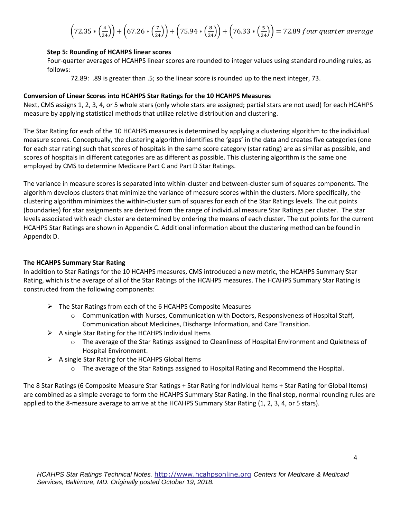$$
\left(72.35 * \left(\frac{4}{24}\right)\right) + \left(67.26 * \left(\frac{7}{24}\right)\right) + \left(75.94 * \left(\frac{8}{24}\right)\right) + \left(76.33 * \left(\frac{5}{24}\right)\right) = 72.89 \, \text{four quarter average}
$$

## **Step 5: Rounding of HCAHPS linear scores**

Four-quarter averages of HCAHPS linear scores are rounded to integer values using standard rounding rules, as follows:

72.89: .89 is greater than .5; so the linear score is rounded up to the next integer, 73.

#### **Conversion of Linear Scores into HCAHPS Star Ratings for the 10 HCAHPS Measures**

Next, CMS assigns 1, 2, 3, 4, or 5 whole stars (only whole stars are assigned; partial stars are not used) for each HCAHPS measure by applying statistical methods that utilize relative distribution and clustering.

The Star Rating for each of the 10 HCAHPS measures is determined by applying a clustering algorithm to the individual measure scores. Conceptually, the clustering algorithm identifies the 'gaps' in the data and creates five categories (one for each star rating) such that scores of hospitals in the same score category (star rating) are as similar as possible, and scores of hospitals in different categories are as different as possible. This clustering algorithm is the same one employed by CMS to determine Medicare Part C and Part D Star Ratings.

The variance in measure scores is separated into within-cluster and between-cluster sum of squares components. The algorithm develops clusters that minimize the variance of measure scores within the clusters. More specifically, the clustering algorithm minimizes the within-cluster sum of squares for each of the Star Ratings levels. The cut points (boundaries) for star assignments are derived from the range of individual measure Star Ratings per cluster. The star levels associated with each cluster are determined by ordering the means of each cluster. The cut points for the current HCAHPS Star Ratings are shown in Appendix C. Additional information about the clustering method can be found in Appendix D.

## **The HCAHPS Summary Star Rating**

In addition to Star Ratings for the 10 HCAHPS measures, CMS introduced a new metric, the HCAHPS Summary Star Rating, which is the average of all of the Star Ratings of the HCAHPS measures. The HCAHPS Summary Star Rating is constructed from the following components:

- $\triangleright$  The Star Ratings from each of the 6 HCAHPS Composite Measures
	- $\circ$  Communication with Nurses, Communication with Doctors, Responsiveness of Hospital Staff, Communication about Medicines, Discharge Information, and Care Transition.
- $\triangleright$  A single Star Rating for the HCAHPS Individual Items
	- o The average of the Star Ratings assigned to Cleanliness of Hospital Environment and Quietness of Hospital Environment.
- $\triangleright$  A single Star Rating for the HCAHPS Global Items
	- o The average of the Star Ratings assigned to Hospital Rating and Recommend the Hospital.

The 8 Star Ratings (6 Composite Measure Star Ratings + Star Rating for Individual Items + Star Rating for Global Items) are combined as a simple average to form the HCAHPS Summary Star Rating. In the final step, normal rounding rules are applied to the 8-measure average to arrive at the HCAHPS Summary Star Rating (1, 2, 3, 4, or 5 stars).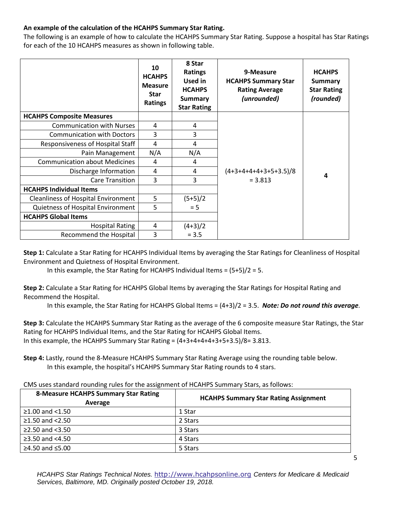## **An example of the calculation of the HCAHPS Summary Star Rating.**

The following is an example of how to calculate the HCAHPS Summary Star Rating. Suppose a hospital has Star Ratings for each of the 10 HCAHPS measures as shown in following table.

|                                            | 10<br><b>HCAHPS</b><br><b>Measure</b><br><b>Star</b><br>Ratings | 8 Star<br><b>Ratings</b><br><b>Used in</b><br><b>HCAHPS</b><br><b>Summary</b><br><b>Star Rating</b> | 9-Measure<br><b>HCAHPS Summary Star</b><br><b>Rating Average</b><br>(unrounded) | <b>HCAHPS</b><br><b>Summary</b><br><b>Star Rating</b><br>(rounded) |
|--------------------------------------------|-----------------------------------------------------------------|-----------------------------------------------------------------------------------------------------|---------------------------------------------------------------------------------|--------------------------------------------------------------------|
| <b>HCAHPS Composite Measures</b>           |                                                                 |                                                                                                     |                                                                                 |                                                                    |
| <b>Communication with Nurses</b>           | 4                                                               | 4                                                                                                   |                                                                                 |                                                                    |
| <b>Communication with Doctors</b>          | 3                                                               | 3                                                                                                   |                                                                                 |                                                                    |
| Responsiveness of Hospital Staff           | 4                                                               | 4                                                                                                   |                                                                                 |                                                                    |
| Pain Management                            | N/A                                                             | N/A                                                                                                 |                                                                                 |                                                                    |
| <b>Communication about Medicines</b>       | 4                                                               | 4                                                                                                   |                                                                                 |                                                                    |
| Discharge Information                      | 4                                                               | 4                                                                                                   | $(4+3+4+4+4+3+5+3.5)/8$                                                         | 4                                                                  |
| <b>Care Transition</b>                     | 3                                                               | 3                                                                                                   | $= 3.813$                                                                       |                                                                    |
| <b>HCAHPS Individual Items</b>             |                                                                 |                                                                                                     |                                                                                 |                                                                    |
| <b>Cleanliness of Hospital Environment</b> | 5                                                               | $(5+5)/2$                                                                                           |                                                                                 |                                                                    |
| Quietness of Hospital Environment          | 5                                                               | $= 5$                                                                                               |                                                                                 |                                                                    |
| <b>HCAHPS Global Items</b>                 |                                                                 |                                                                                                     |                                                                                 |                                                                    |
| <b>Hospital Rating</b>                     | 4                                                               | $(4+3)/2$                                                                                           |                                                                                 |                                                                    |
| Recommend the Hospital                     | 3                                                               | $= 3.5$                                                                                             |                                                                                 |                                                                    |

**Step 1:** Calculate a Star Rating for HCAHPS Individual Items by averaging the Star Ratings for Cleanliness of Hospital Environment and Quietness of Hospital Environment.

In this example, the Star Rating for HCAHPS Individual Items =  $(5+5)/2 = 5$ .

**Step 2:** Calculate a Star Rating for HCAHPS Global Items by averaging the Star Ratings for Hospital Rating and Recommend the Hospital.

In this example, the Star Rating for HCAHPS Global Items = (4+3)/2 = 3.5. *Note: Do not round this average.*

**Step 3:** Calculate the HCAHPS Summary Star Rating as the average of the 6 composite measure Star Ratings, the Star Rating for HCAHPS Individual Items, and the Star Rating for HCAHPS Global Items. In this example, the HCAHPS Summary Star Rating =  $(4+3+4+4+4+3+5+3.5)/8=3.813$ .

**Step 4:** Lastly, round the 8-Measure HCAHPS Summary Star Rating Average using the rounding table below. In this example, the hospital's HCAHPS Summary Star Rating rounds to 4 stars.

| <b>8-Measure HCAHPS Summary Star Rating</b><br>Average | <b>HCAHPS Summary Star Rating Assignment</b> |  |  |  |
|--------------------------------------------------------|----------------------------------------------|--|--|--|
| $≥1.00$ and <1.50                                      | 1 Star                                       |  |  |  |
| $≥1.50$ and <2.50                                      | 2 Stars                                      |  |  |  |
| $≥2.50$ and $< 3.50$                                   | 3 Stars                                      |  |  |  |
| $≥3.50$ and <4.50                                      | 4 Stars                                      |  |  |  |
| $≥4.50$ and ≤5.00                                      | 5 Stars                                      |  |  |  |

*HCAHPS Star Ratings Technical Notes.* [http://www.hcahpsonline.org](http://www.hcahpsonline.org/) *Centers for Medicare & Medicaid Services, Baltimore, MD. Originally posted October 19, 2018.*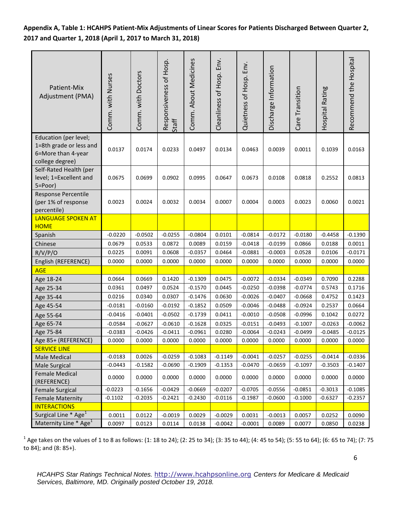**Appendix A, Table 1: HCAHPS Patient-Mix Adjustments of Linear Scores for Patients Discharged Between Quarter 2, 2017 and Quarter 1, 2018 (April 1, 2017 to March 31, 2018)**

| Patient-Mix<br>Adjustment (PMA)                                                           | Comm. with Nurses | Comm. with Doctors | Responsiveness of Hosp.<br>Staff | Comm. About Medicines | Cleanliness of Hosp. Env. | Quietness of Hosp. Env. | Discharge Information | Care Transition | Hospital Rating | Recommend the Hospital |
|-------------------------------------------------------------------------------------------|-------------------|--------------------|----------------------------------|-----------------------|---------------------------|-------------------------|-----------------------|-----------------|-----------------|------------------------|
| Education (per level;<br>1=8th grade or less and<br>6=More than 4-year<br>college degree) | 0.0137            | 0.0174             | 0.0233                           | 0.0497                | 0.0134                    | 0.0463                  | 0.0039                | 0.0011          | 0.1039          | 0.0163                 |
| Self-Rated Health (per<br>level; 1=Excellent and<br>5=Poor)                               | 0.0675            | 0.0699             | 0.0902                           | 0.0995                | 0.0647                    | 0.0673                  | 0.0108                | 0.0818          | 0.2552          | 0.0813                 |
| Response Percentile<br>(per 1% of response<br>percentile)                                 | 0.0023            | 0.0024             | 0.0032                           | 0.0034                | 0.0007                    | 0.0004                  | 0.0003                | 0.0023          | 0.0060          | 0.0021                 |
| <b>LANGUAGE SPOKEN AT</b><br><b>HOME</b>                                                  |                   |                    |                                  |                       |                           |                         |                       |                 |                 |                        |
| Spanish                                                                                   | $-0.0220$         | $-0.0502$          | $-0.0255$                        | $-0.0804$             | 0.0101                    | $-0.0814$               | $-0.0172$             | $-0.0180$       | $-0.4458$       | $-0.1390$              |
| Chinese                                                                                   | 0.0679            | 0.0533             | 0.0872                           | 0.0089                | 0.0159                    | $-0.0418$               | $-0.0199$             | 0.0866          | 0.0188          | 0.0011                 |
| R/V/P/O                                                                                   | 0.0225            | 0.0091             | 0.0608                           | $-0.0357$             | 0.0464                    | $-0.0881$               | $-0.0003$             | 0.0528          | 0.0106          | $-0.0171$              |
| English (REFERENCE)                                                                       | 0.0000            | 0.0000             | 0.0000                           | 0.0000                | 0.0000                    | 0.0000                  | 0.0000                | 0.0000          | 0.0000          | 0.0000                 |
| <b>AGE</b>                                                                                |                   |                    |                                  |                       |                           |                         |                       |                 |                 |                        |
| Age 18-24                                                                                 | 0.0664            | 0.0669             | 0.1420                           | $-0.1309$             | 0.0475                    | $-0.0072$               | $-0.0334$             | $-0.0349$       | 0.7090          | 0.2288                 |
| Age 25-34                                                                                 | 0.0361            | 0.0497             | 0.0524                           | $-0.1570$             | 0.0445                    | $-0.0250$               | $-0.0398$             | $-0.0774$       | 0.5743          | 0.1716                 |
| Age 35-44                                                                                 | 0.0216            | 0.0340             | 0.0307                           | $-0.1476$             | 0.0630                    | $-0.0026$               | $-0.0407$             | $-0.0668$       | 0.4752          | 0.1423                 |
| Age 45-54                                                                                 | $-0.0181$         | $-0.0160$          | $-0.0192$                        | $-0.1852$             | 0.0509                    | $-0.0046$               | $-0.0488$             | $-0.0924$       | 0.2537          | 0.0664                 |
| Age 55-64                                                                                 | $-0.0416$         | $-0.0401$          | $-0.0502$                        | $-0.1739$             | 0.0411                    | $-0.0010$               | $-0.0508$             | $-0.0996$       | 0.1042          | 0.0272                 |
| Age 65-74                                                                                 | $-0.0584$         | $-0.0627$          | $-0.0610$                        | $-0.1628$             | 0.0325                    | $-0.0151$               | $-0.0493$             | $-0.1007$       | $-0.0263$       | $-0.0062$              |
| Age 75-84                                                                                 | $-0.0383$         | $-0.0426$          | $-0.0411$                        | $-0.0961$             | 0.0280                    | $-0.0064$               | $-0.0243$             | $-0.0499$       | $-0.0485$       | $-0.0125$              |
| Age 85+ (REFERENCE)                                                                       | 0.0000            | 0.0000             | 0.0000                           | 0.0000                | 0.0000                    | 0.0000                  | 0.0000                | 0.0000          | 0.0000          | 0.0000                 |
| <b>SERVICE LINE</b>                                                                       |                   |                    |                                  |                       |                           |                         |                       |                 |                 |                        |
| Male Medical                                                                              | $-0.0183$         | 0.0026             | $-0.0259$                        | $-0.1083$             | $-0.1149$                 | $-0.0041$               | $-0.0257$             | $-0.0255$       | $-0.0414$       | $-0.0336$              |
| Male Surgical                                                                             | $-0.0443$         | $-0.1582$          | $-0.0690$                        | $-0.1909$             | $-0.1353$                 | $-0.0470$               | $-0.0659$             | $-0.1097$       | $-0.3503$       | $-0.1407$              |
| Female Medical<br>(REFERENCE)                                                             | 0.0000            | 0.0000             | 0.0000                           | 0.0000                | 0.0000                    | 0.0000                  | 0.0000                | 0.0000          | 0.0000          | 0.0000                 |
| <b>Female Surgical</b>                                                                    | $-0.0223$         | $-0.1656$          | $-0.0429$                        | $-0.0669$             | $-0.0207$                 | $-0.0705$               | $-0.0556$             | $-0.0851$       | $-0.3013$       | $-0.1085$              |
| <b>Female Maternity</b>                                                                   | $-0.1102$         | $-0.2035$          | $-0.2421$                        | $-0.2430$             | $-0.0116$                 | $-0.1987$               | $-0.0600$             | $-0.1000$       | $-0.6327$       | $-0.2357$              |
| <b>INTERACTIONS</b>                                                                       |                   |                    |                                  |                       |                           |                         |                       |                 |                 |                        |
| Surgical Line $*$ Age <sup>1</sup>                                                        | 0.0011            | 0.0122             | $-0.0019$                        | 0.0029                | $-0.0029$                 | 0.0031                  | $-0.0013$             | 0.0057          | 0.0252          | 0.0090                 |
| Maternity Line * Age <sup>1</sup>                                                         | 0.0097            | 0.0123             | 0.0114                           | 0.0138                | $-0.0042$                 | $-0.0001$               | 0.0089                | 0.0077          | 0.0850          | 0.0238                 |

 $^1$  Age takes on the values of 1 to 8 as follows: (1: 18 to 24); (2: 25 to 34); (3: 35 to 44); (4: 45 to 54); (5: 55 to 64); (6: 65 to 74); (7: 75 to 84); and (8: 85+).

6

*HCAHPS Star Ratings Technical Notes.* [http://www.hcahpsonline.org](http://www.hcahpsonline.org/) *Centers for Medicare & Medicaid Services, Baltimore, MD. Originally posted October 19, 2018.*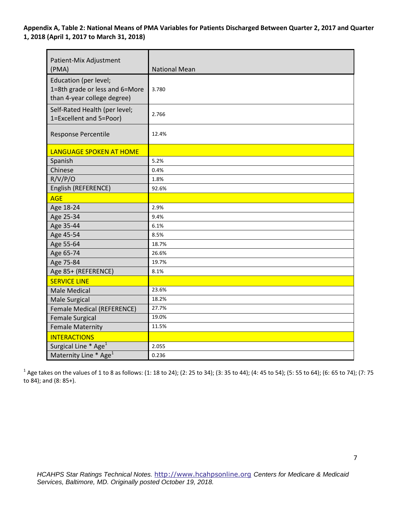**Appendix A, Table 2: National Means of PMA Variables for Patients Discharged Between Quarter 2, 2017 and Quarter 1, 2018 (April 1, 2017 to March 31, 2018)** 

| Patient-Mix Adjustment<br>(PMA)                                                        | <b>National Mean</b> |
|----------------------------------------------------------------------------------------|----------------------|
| Education (per level;<br>1=8th grade or less and 6=More<br>than 4-year college degree) | 3.780                |
| Self-Rated Health (per level;<br>1=Excellent and 5=Poor)                               | 2.766                |
| Response Percentile                                                                    | 12.4%                |
| <b>LANGUAGE SPOKEN AT HOME</b>                                                         |                      |
| Spanish                                                                                | 5.2%                 |
| Chinese                                                                                | 0.4%                 |
| R/V/P/O                                                                                | 1.8%                 |
| English (REFERENCE)                                                                    | 92.6%                |
| <b>AGE</b>                                                                             |                      |
| Age 18-24                                                                              | 2.9%                 |
| Age 25-34                                                                              | 9.4%                 |
| Age 35-44                                                                              | 6.1%                 |
| Age 45-54                                                                              | 8.5%                 |
| Age 55-64                                                                              | 18.7%                |
| Age 65-74                                                                              | 26.6%                |
| Age 75-84                                                                              | 19.7%                |
| Age 85+ (REFERENCE)                                                                    | 8.1%                 |
| <b>SERVICE LINE</b>                                                                    |                      |
| <b>Male Medical</b>                                                                    | 23.6%                |
| Male Surgical                                                                          | 18.2%                |
| <b>Female Medical (REFERENCE)</b>                                                      | 27.7%                |
| <b>Female Surgical</b>                                                                 | 19.0%                |
| <b>Female Maternity</b>                                                                | 11.5%                |
| <b>INTERACTIONS</b>                                                                    |                      |
| Surgical Line * Age <sup>1</sup>                                                       | 2.055                |
| Maternity Line * Age <sup>1</sup>                                                      | 0.236                |

 $^1$  Age takes on the values of 1 to 8 as follows: (1: 18 to 24); (2: 25 to 34); (3: 35 to 44); (4: 45 to 54); (5: 55 to 64); (6: 65 to 74); (7: 75 to 84); and (8: 85+).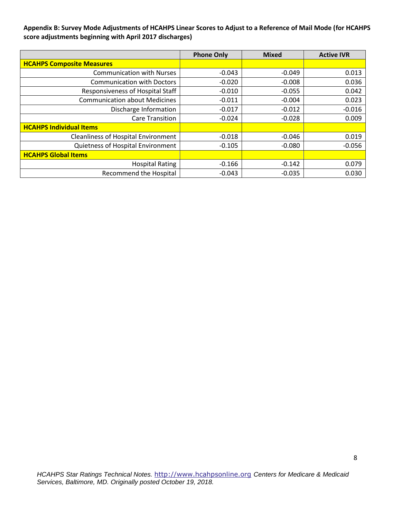**Appendix B: Survey Mode Adjustments of HCAHPS Linear Scores to Adjust to a Reference of Mail Mode (for HCAHPS score adjustments beginning with April 2017 discharges)** 

|                                            | <b>Phone Only</b> | <b>Mixed</b> | <b>Active IVR</b> |
|--------------------------------------------|-------------------|--------------|-------------------|
| <b>HCAHPS Composite Measures</b>           |                   |              |                   |
| <b>Communication with Nurses</b>           | $-0.043$          | $-0.049$     | 0.013             |
| <b>Communication with Doctors</b>          | $-0.020$          | $-0.008$     | 0.036             |
| Responsiveness of Hospital Staff           | $-0.010$          | $-0.055$     | 0.042             |
| <b>Communication about Medicines</b>       | $-0.011$          | $-0.004$     | 0.023             |
| Discharge Information                      | $-0.017$          | $-0.012$     | $-0.016$          |
| <b>Care Transition</b>                     | $-0.024$          | $-0.028$     | 0.009             |
| <b>HCAHPS Individual Items</b>             |                   |              |                   |
| <b>Cleanliness of Hospital Environment</b> | $-0.018$          | $-0.046$     | 0.019             |
| Quietness of Hospital Environment          | $-0.105$          | $-0.080$     | $-0.056$          |
| <b>HCAHPS Global Items</b>                 |                   |              |                   |
| <b>Hospital Rating</b>                     | $-0.166$          | $-0.142$     | 0.079             |
| <b>Recommend the Hospital</b>              | $-0.043$          | $-0.035$     | 0.030             |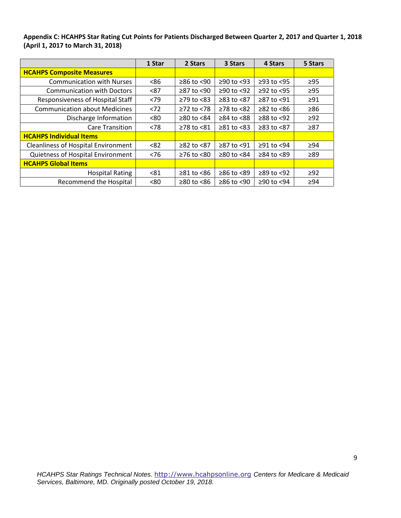**Appendix C: HCAHPS Star Rating Cut Points for Patients Discharged Between Quarter 2, 2017 and Quarter 1, 2018 (April 1, 2017 to March 31, 2018)** 

|                                            | 1 Star | 2 Stars                | 3 Stars        | 4 Stars          | 5 Stars   |
|--------------------------------------------|--------|------------------------|----------------|------------------|-----------|
| <b>HCAHPS Composite Measures</b>           |        |                        |                |                  |           |
| <b>Communication with Nurses</b>           | <86    | $\geq$ 86 to <90       | $≥90$ to <93   | $≥93$ to $<95$   | $\geq$ 95 |
| <b>Communication with Doctors</b>          | < 87   | $\geq$ 87 to <90       | ≥90 to <92     | $≥92$ to <95     | $\geq$ 95 |
| Responsiveness of Hospital Staff           | < 79   | $\geq$ 79 to <83       | ≥83 to <87     | $≥87$ to <91     | $\geq$ 91 |
| <b>Communication about Medicines</b>       | < 72   | $≥72$ to $≤78$         | ≥78 to <82     | $\geq$ 82 to <86 | $\geq 86$ |
| Discharge Information                      | <80    | $≥80$ to $≤84$         | ≥84 to <88     | $≥88$ to <92     | $\geq$ 92 |
| <b>Care Transition</b>                     | < 78   | $≥78$ to $≤81$         | $≥81$ to $<83$ | $≥83$ to $≤87$   | ≥87       |
| <b>HCAHPS Individual Items</b>             |        |                        |                |                  |           |
| <b>Cleanliness of Hospital Environment</b> | < 82   | $≥82$ to $≤87$         | ≥87 to <91     | $≥91$ to $≤94$   | $\geq$ 94 |
| Quietness of Hospital Environment          | < 76   | $≥76$ to $≤80$         | ≥80 to <84     | $\geq$ 84 to <89 | $\geq 89$ |
| <b>HCAHPS Global Items</b>                 |        |                        |                |                  |           |
| <b>Hospital Rating</b>                     | < 81   | $\geq 81$ to $\leq 86$ | ≥86 to <89     | $≥89$ to <92     | $\geq 92$ |
| <b>Recommend the Hospital</b>              | <80    | $≥80$ to $≤86$         | ≥86 to <90     | ≥90 to <94       | $\geq 94$ |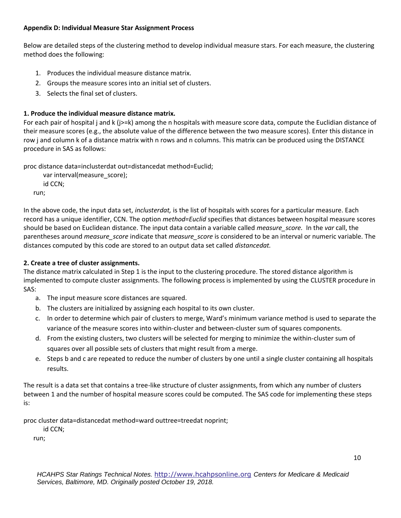## **Appendix D: Individual Measure Star Assignment Process**

Below are detailed steps of the clustering method to develop individual measure stars. For each measure, the clustering method does the following:

- 1. Produces the individual measure distance matrix.
- 2. Groups the measure scores into an initial set of clusters.
- 3. Selects the final set of clusters.

## **1. Produce the individual measure distance matrix.**

For each pair of hospital j and k (j>=k) among the n hospitals with measure score data, compute the Euclidian distance of their measure scores (e.g., the absolute value of the difference between the two measure scores). Enter this distance in row j and column k of a distance matrix with n rows and n columns. This matrix can be produced using the DISTANCE procedure in SAS as follows:

proc distance data=inclusterdat out=distancedat method=Euclid;

```
 var interval(measure_score);
   id CCN;
run;
```
In the above code, the input data set, *inclusterdat,* is the list of hospitals with scores for a particular measure. Each record has a unique identifier, CCN. The option *method=Euclid* specifies that distances between hospital measure scores should be based on Euclidean distance. The input data contain a variable called *measure\_score.* In the *var* call, the parentheses around *measure\_score* indicate that *measure\_score* is considered to be an interval or numeric variable. The distances computed by this code are stored to an output data set called *distancedat.* 

## **2. Create a tree of cluster assignments.**

The distance matrix calculated in Step 1 is the input to the clustering procedure. The stored distance algorithm is implemented to compute cluster assignments. The following process is implemented by using the CLUSTER procedure in SAS:

- a. The input measure score distances are squared.
- b. The clusters are initialized by assigning each hospital to its own cluster.
- c. In order to determine which pair of clusters to merge, Ward's minimum variance method is used to separate the variance of the measure scores into within-cluster and between-cluster sum of squares components.
- d. From the existing clusters, two clusters will be selected for merging to minimize the within-cluster sum of squares over all possible sets of clusters that might result from a merge.
- e. Steps b and c are repeated to reduce the number of clusters by one until a single cluster containing all hospitals results.

The result is a data set that contains a tree-like structure of cluster assignments, from which any number of clusters between 1 and the number of hospital measure scores could be computed. The SAS code for implementing these steps is:

proc cluster data=distancedat method=ward outtree=treedat noprint;

id CCN;

run;